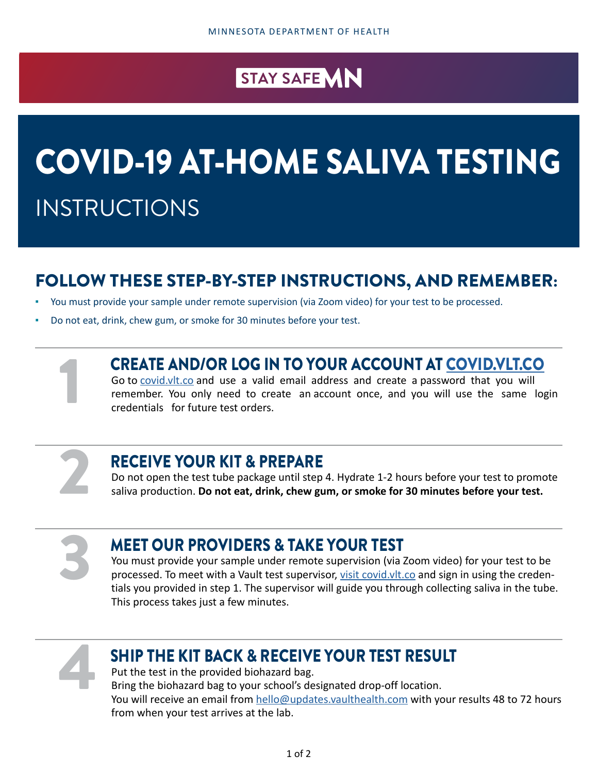# STAY SAFE MN

# COVID-19 AT-HOME SALIVA TESTING INSTRUCTIONS

# FOLLOW THESE STEP-BY-STEP INSTRUCTIONS, AND REMEMBER:

- You must provide your sample under remote supervision (via Zoom video) for your test to be processed.
- Do not eat, drink, chew gum, or smoke for 30 minutes before your test.

#### CREATE AND/OR LOG IN TO YOUR ACCOUNT AT [COVID.VLT.CO](http://COVID.VLT.CO)

Go to [covid.vlt.co](http://covid.vlt.co) and use a valid email address and create a password that you will remember. You only need to create an account once, and you will use the same login credentials for future test orders.

2

#### RECEIVE YOUR KIT & PREPARE

Do not open the test tube package until step 4. Hydrate 1-2 hours before your test to promote saliva production. **Do not eat, drink, chew gum, or smoke for 30 minutes before your test.**

3

1

#### MEET OUR PROVIDERS & TAKE YOUR TEST

You must provide your sample under remote supervision (via Zoom video) for your test to be processed. To meet with a Vault test supervisor, [visit covid.vlt.co](http://visit covid.vlt.co) and sign in using the credentials you provided in step 1. The supervisor will guide you through collecting saliva in the tube. This process takes just a few minutes.



#### SHIP THE KIT BACK & RECEIVE YOUR TEST RESULT

Put the test in the provided biohazard bag. Bring the biohazard bag to your school's designated drop-off location. You will receive an email from [hello@updates.vaulthealth.com](mailto:hello@updates.vaulthealth.com) with your results 48 to 72 hours from when your test arrives at the lab.